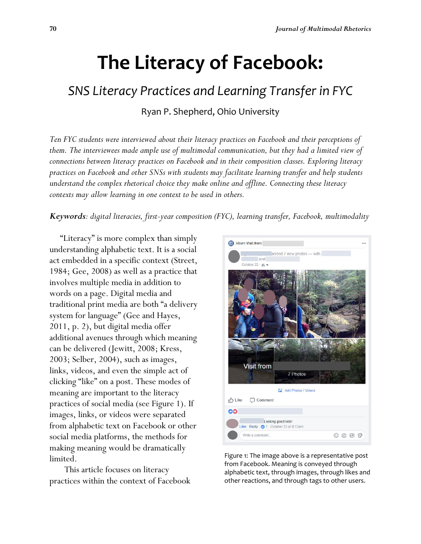# **The Literacy of Facebook:**

# *SNS Literacy Practices and Learning Transfer in FYC*

Ryan P. Shepherd, Ohio University

*Ten FYC students were interviewed about their literacy practices on Facebook and their perceptions of them. The interviewees made ample use of multimodal communication, but they had a limited view of connections between literacy practices on Facebook and in their composition classes. Exploring literacy practices on Facebook and other SNSs with students may facilitate learning transfer and help students understand the complex rhetorical choice they make online and offline. Connecting these literacy contexts may allow learning in one context to be used in others.*

### *Keywords: digital literacies, first-year composition (FYC), learning transfer, Facebook, multimodality*

 "Literacy" is more complex than simply understanding alphabetic text. It is a social act embedded in a specific context (Street, 1984; Gee, 2008) as well as a practice that involves multiple media in addition to words on a page. Digital media and traditional print media are both "a delivery system for language" (Gee and Hayes, 2011, p. 2), but digital media offer additional avenues through which meaning can be delivered (Jewitt, 2008; Kress, 2003; Selber, 2004), such as images, links, videos, and even the simple act of clicking "like" on a post. These modes of meaning are important to the literacy practices of social media (see Figure 1). If images, links, or videos were separated from alphabetic text on Facebook or other social media platforms, the methods for making meaning would be dramatically limited.

This article focuses on literacy practices within the context of Facebook



Figure 1: The image above is a representative post from Facebook. Meaning is conveyed through alphabetic text, through images, through likes and other reactions, and through tags to other users.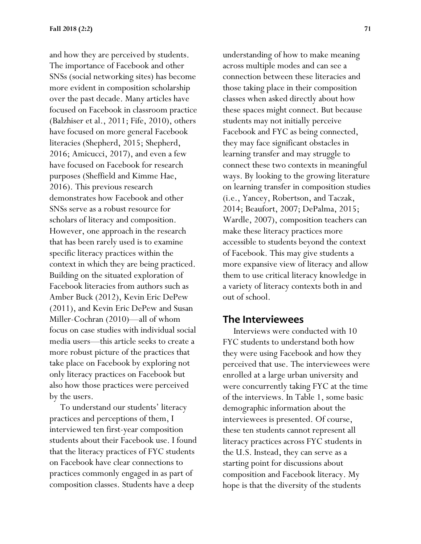and how they are perceived by students. The importance of Facebook and other SNSs (social networking sites) has become more evident in composition scholarship over the past decade. Many articles have focused on Facebook in classroom practice (Balzhiser et al., 2011; Fife, 2010), others have focused on more general Facebook literacies (Shepherd, 2015; Shepherd, 2016; Amicucci, 2017), and even a few have focused on Facebook for research purposes (Sheffield and Kimme Hae, 2016). This previous research demonstrates how Facebook and other SNSs serve as a robust resource for scholars of literacy and composition. However, one approach in the research that has been rarely used is to examine specific literacy practices within the context in which they are being practiced. Building on the situated exploration of Facebook literacies from authors such as Amber Buck (2012), Kevin Eric DePew (2011), and Kevin Eric DePew and Susan Miller-Cochran (2010)—all of whom focus on case studies with individual social media users—this article seeks to create a more robust picture of the practices that take place on Facebook by exploring not only literacy practices on Facebook but also how those practices were perceived by the users.

 To understand our students' literacy practices and perceptions of them, I interviewed ten first-year composition students about their Facebook use. I found that the literacy practices of FYC students on Facebook have clear connections to practices commonly engaged in as part of composition classes. Students have a deep

understanding of how to make meaning across multiple modes and can see a connection between these literacies and those taking place in their composition classes when asked directly about how these spaces might connect. But because students may not initially perceive Facebook and FYC as being connected, they may face significant obstacles in learning transfer and may struggle to connect these two contexts in meaningful ways. By looking to the growing literature on learning transfer in composition studies (i.e., Yancey, Robertson, and Taczak, 2014; Beaufort, 2007; DePalma, 2015; Wardle, 2007), composition teachers can make these literacy practices more accessible to students beyond the context of Facebook. This may give students a more expansive view of literacy and allow them to use critical literacy knowledge in a variety of literacy contexts both in and out of school.

### **The Interviewees**

 Interviews were conducted with 10 FYC students to understand both how they were using Facebook and how they perceived that use. The interviewees were enrolled at a large urban university and were concurrently taking FYC at the time of the interviews. In Table 1, some basic demographic information about the interviewees is presented. Of course, these ten students cannot represent all literacy practices across FYC students in the U.S. Instead, they can serve as a starting point for discussions about composition and Facebook literacy. My hope is that the diversity of the students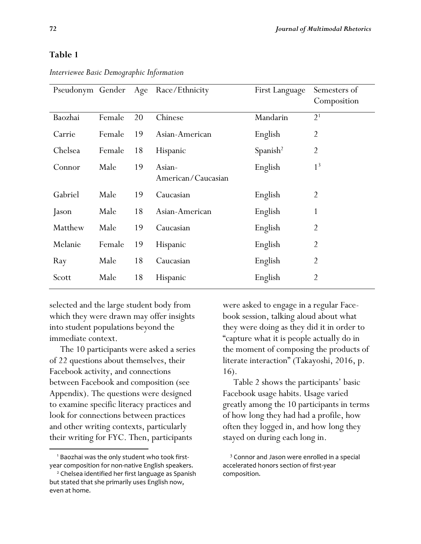### **Table 1**

| Pseudonym Gender |        | Age | Race/Ethnicity               | First Language       | Semesters of<br>Composition |
|------------------|--------|-----|------------------------------|----------------------|-----------------------------|
| Baozhai          | Female | 20  | Chinese                      | Mandarin             | 2 <sup>1</sup>              |
| Carrie           | Female | 19  | Asian-American               | English              | $\overline{2}$              |
| Chelsea          | Female | 18  | Hispanic                     | Spanish <sup>2</sup> | $\overline{2}$              |
| Connor           | Male   | 19  | Asian-<br>American/Caucasian | English              | 1 <sup>3</sup>              |
| Gabriel          | Male   | 19  | Caucasian                    | English              | $\overline{2}$              |
| Jason            | Male   | 18  | Asian-American               | English              |                             |
| Matthew          | Male   | 19  | Caucasian                    | English              | $\overline{2}$              |
| Melanie          | Female | 19  | <b>Hispanic</b>              | English              | $\overline{2}$              |
| Ray              | Male   | 18  | Caucasian                    | English              | $\overline{2}$              |
| Scott            | Male   | 18  | <b>Hispanic</b>              | English              | $\overline{2}$              |

*Interviewee Basic Demographic Information*

selected and the large student body from which they were drawn may offer insights into student populations beyond the immediate context.

 The 10 participants were asked a series of 22 questions about themselves, their Facebook activity, and connections between Facebook and composition (see Appendix). The questions were designed to examine specific literacy practices and look for connections between practices and other writing contexts, particularly their writing for FYC. Then, participants

 $\overline{\phantom{a}}$ 

were asked to engage in a regular Facebook session, talking aloud about what they were doing as they did it in order to "capture what it is people actually do in the moment of composing the products of literate interaction" (Takayoshi, 2016, p. 16).

 Table 2 shows the participants' basic Facebook usage habits. Usage varied greatly among the 10 participants in terms of how long they had had a profile, how often they logged in, and how long they stayed on during each long in.

<sup>1</sup> Baozhai was the only student who took firstyear composition for non-native English speakers.

<sup>2</sup> Chelsea identified her first language as Spanish but stated that she primarily uses English now, even at home.

<sup>&</sup>lt;sup>3</sup> Connor and Jason were enrolled in a special accelerated honors section of first-year composition.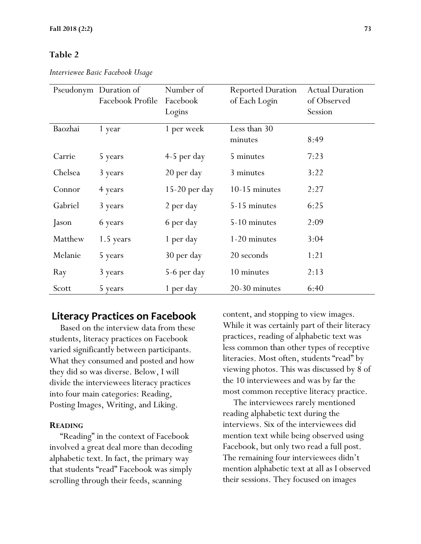### **Table 2**

*Interviewee Basic Facebook Usage*

|         | Pseudonym Duration of<br>Facebook Profile | Number of<br>Facebook<br>Logins | <b>Reported Duration</b><br>of Each Login | <b>Actual Duration</b><br>of Observed<br>Session |
|---------|-------------------------------------------|---------------------------------|-------------------------------------------|--------------------------------------------------|
| Baozhai | 1 year                                    | 1 per week                      | Less than 30<br>minutes                   | 8:49                                             |
| Carrie  | 5 years                                   | $4-5$ per day                   | 5 minutes                                 | 7:23                                             |
| Chelsea | 3 years                                   | 20 per day                      | 3 minutes                                 | 3:22                                             |
| Connor  | 4 years                                   | $15-20$ per day                 | 10-15 minutes                             | 2:27                                             |
| Gabriel | 3 years                                   | 2 per day                       | 5-15 minutes                              | 6:25                                             |
| Jason   | 6 years                                   | 6 per day                       | 5-10 minutes                              | 2:09                                             |
| Matthew | 1.5 years                                 | 1 per day                       | 1-20 minutes                              | 3:04                                             |
| Melanie | 5 years                                   | 30 per day                      | 20 seconds                                | 1:21                                             |
| Ray     | 3 years                                   | 5-6 per day                     | 10 minutes                                | 2:13                                             |
| Scott   | 5 years                                   | 1 per day                       | 20-30 minutes                             | 6:40                                             |

### **Literacy Practices on Facebook**

 Based on the interview data from these students, literacy practices on Facebook varied significantly between participants. What they consumed and posted and how they did so was diverse. Below, I will divide the interviewees literacy practices into four main categories: Reading, Posting Images, Writing, and Liking.

### **READING**

 "Reading" in the context of Facebook involved a great deal more than decoding alphabetic text. In fact, the primary way that students "read" Facebook was simply scrolling through their feeds, scanning

content, and stopping to view images. While it was certainly part of their literacy practices, reading of alphabetic text was less common than other types of receptive literacies. Most often, students "read" by viewing photos. This was discussed by 8 of the 10 interviewees and was by far the most common receptive literacy practice.

 The interviewees rarely mentioned reading alphabetic text during the interviews. Six of the interviewees did mention text while being observed using Facebook, but only two read a full post. The remaining four interviewees didn't mention alphabetic text at all as I observed their sessions. They focused on images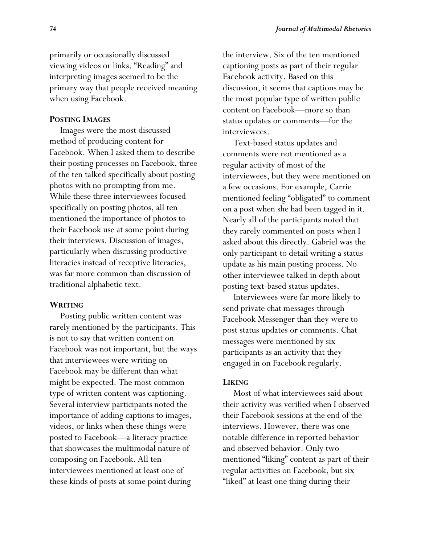primarily or occasionally discussed viewing videos or links. "Reading" and interpreting images seemed to be the primary way that people received meaning when using Facebook.

### **POSTING IMAGES**

 Images were the most discussed method of producing content for Facebook. When I asked them to describe their posting processes on Facebook, three of the ten talked specifically about posting photos with no prompting from me. While these three interviewees focused specifically on posting photos, all ten mentioned the importance of photos to their Facebook use at some point during their interviews. Discussion of images, particularly when discussing productive literacies instead of receptive literacies, was far more common than discussion of traditional alphabetic text.

### **WRITING**

 Posting public written content was rarely mentioned by the participants. This is not to say that written content on Facebook was not important, but the ways that interviewees were writing on Facebook may be different than what might be expected. The most common type of written content was captioning. Several interview participants noted the importance of adding captions to images, videos, or links when these things were posted to Facebook—a literacy practice that showcases the multimodal nature of composing on Facebook. All ten interviewees mentioned at least one of these kinds of posts at some point during

the interview. Six of the ten mentioned captioning posts as part of their regular Facebook activity. Based on this discussion, it seems that captions may be the most popular type of written public content on Facebook—more so than status updates or comments—for the interviewees.

 Text-based status updates and comments were not mentioned as a regular activity of most of the interviewees, but they were mentioned on a few occasions. For example, Carrie mentioned feeling "obligated" to comment on a post when she had been tagged in it. Nearly all of the participants noted that they rarely commented on posts when I asked about this directly. Gabriel was the only participant to detail writing a status update as his main posting process. No other interviewee talked in depth about posting text-based status updates.

 Interviewees were far more likely to send private chat messages through Facebook Messenger than they were to post status updates or comments. Chat messages were mentioned by six participants as an activity that they engaged in on Facebook regularly.

#### **LIKING**

 Most of what interviewees said about their activity was verified when I observed their Facebook sessions at the end of the interviews. However, there was one notable difference in reported behavior and observed behavior. Only two mentioned "liking" content as part of their regular activities on Facebook, but six "liked" at least one thing during their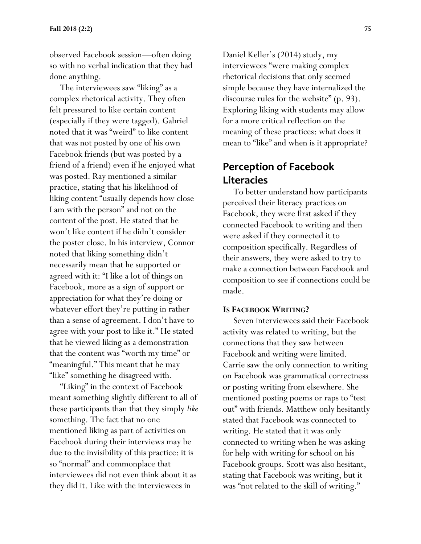observed Facebook session—often doing so with no verbal indication that they had done anything.

 The interviewees saw "liking" as a complex rhetorical activity. They often felt pressured to like certain content (especially if they were tagged). Gabriel noted that it was "weird" to like content that was not posted by one of his own Facebook friends (but was posted by a friend of a friend) even if he enjoyed what was posted. Ray mentioned a similar practice, stating that his likelihood of liking content "usually depends how close I am with the person" and not on the content of the post. He stated that he won't like content if he didn't consider the poster close. In his interview, Connor noted that liking something didn't necessarily mean that he supported or agreed with it: "I like a lot of things on Facebook, more as a sign of support or appreciation for what they're doing or whatever effort they're putting in rather than a sense of agreement. I don't have to agree with your post to like it." He stated that he viewed liking as a demonstration that the content was "worth my time" or "meaningful." This meant that he may "like" something he disagreed with.

 "Liking" in the context of Facebook meant something slightly different to all of these participants than that they simply *like* something. The fact that no one mentioned liking as part of activities on Facebook during their interviews may be due to the invisibility of this practice: it is so "normal" and commonplace that interviewees did not even think about it as they did it. Like with the interviewees in

Daniel Keller's (2014) study, my interviewees "were making complex rhetorical decisions that only seemed simple because they have internalized the discourse rules for the website" (p. 93). Exploring liking with students may allow for a more critical reflection on the meaning of these practices: what does it mean to "like" and when is it appropriate?

# **Perception of Facebook Literacies**

 To better understand how participants perceived their literacy practices on Facebook, they were first asked if they connected Facebook to writing and then were asked if they connected it to composition specifically. Regardless of their answers, they were asked to try to make a connection between Facebook and composition to see if connections could be made.

#### **IS FACEBOOK WRITING?**

 Seven interviewees said their Facebook activity was related to writing, but the connections that they saw between Facebook and writing were limited. Carrie saw the only connection to writing on Facebook was grammatical correctness or posting writing from elsewhere. She mentioned posting poems or raps to "test out" with friends. Matthew only hesitantly stated that Facebook was connected to writing. He stated that it was only connected to writing when he was asking for help with writing for school on his Facebook groups. Scott was also hesitant, stating that Facebook was writing, but it was "not related to the skill of writing."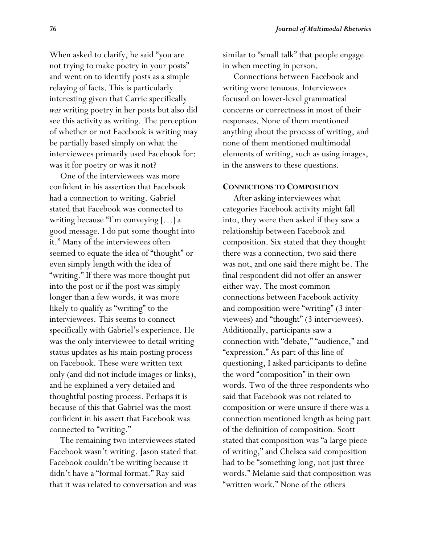When asked to clarify, he said "you are not trying to make poetry in your posts" and went on to identify posts as a simple relaying of facts. This is particularly interesting given that Carrie specifically *was* writing poetry in her posts but also did see this activity as writing. The perception of whether or not Facebook is writing may be partially based simply on what the interviewees primarily used Facebook for: was it for poetry or was it not?

 One of the interviewees was more confident in his assertion that Facebook had a connection to writing. Gabriel stated that Facebook was connected to writing because "I'm conveying […] a good message. I do put some thought into it." Many of the interviewees often seemed to equate the idea of "thought" or even simply length with the idea of "writing." If there was more thought put into the post or if the post was simply longer than a few words, it was more likely to qualify as "writing" to the interviewees. This seems to connect specifically with Gabriel's experience. He was the only interviewee to detail writing status updates as his main posting process on Facebook. These were written text only (and did not include images or links), and he explained a very detailed and thoughtful posting process. Perhaps it is because of this that Gabriel was the most confident in his assert that Facebook was connected to "writing."

 The remaining two interviewees stated Facebook wasn't writing. Jason stated that Facebook couldn't be writing because it didn't have a "formal format." Ray said that it was related to conversation and was

similar to "small talk" that people engage in when meeting in person.

 Connections between Facebook and writing were tenuous. Interviewees focused on lower-level grammatical concerns or correctness in most of their responses. None of them mentioned anything about the process of writing, and none of them mentioned multimodal elements of writing, such as using images, in the answers to these questions.

#### **CONNECTIONS TO COMPOSITION**

 After asking interviewees what categories Facebook activity might fall into, they were then asked if they saw a relationship between Facebook and composition. Six stated that they thought there was a connection, two said there was not, and one said there might be. The final respondent did not offer an answer either way. The most common connections between Facebook activity and composition were "writing" (3 interviewees) and "thought" (3 interviewees). Additionally, participants saw a connection with "debate," "audience," and "expression." As part of this line of questioning, I asked participants to define the word "composition" in their own words. Two of the three respondents who said that Facebook was not related to composition or were unsure if there was a connection mentioned length as being part of the definition of composition. Scott stated that composition was "a large piece of writing," and Chelsea said composition had to be "something long, not just three words." Melanie said that composition was "written work." None of the others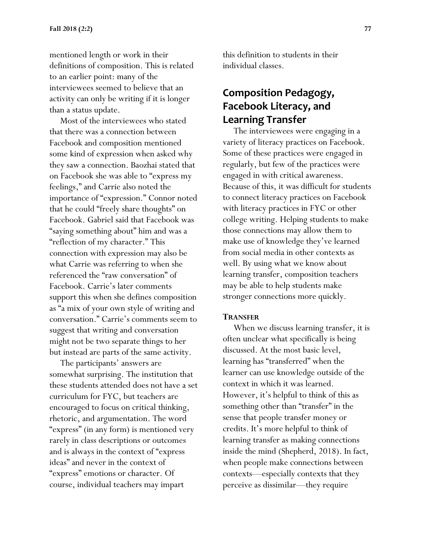mentioned length or work in their definitions of composition. This is related to an earlier point: many of the interviewees seemed to believe that an activity can only be writing if it is longer than a status update.

 Most of the interviewees who stated that there was a connection between Facebook and composition mentioned some kind of expression when asked why they saw a connection. Baozhai stated that on Facebook she was able to "express my feelings," and Carrie also noted the importance of "expression." Connor noted that he could "freely share thoughts" on Facebook. Gabriel said that Facebook was "saying something about" him and was a "reflection of my character." This connection with expression may also be what Carrie was referring to when she referenced the "raw conversation" of Facebook. Carrie's later comments support this when she defines composition as "a mix of your own style of writing and conversation." Carrie's comments seem to suggest that writing and conversation might not be two separate things to her but instead are parts of the same activity.

 The participants' answers are somewhat surprising. The institution that these students attended does not have a set curriculum for FYC, but teachers are encouraged to focus on critical thinking, rhetoric, and argumentation. The word "express" (in any form) is mentioned very rarely in class descriptions or outcomes and is always in the context of "express ideas" and never in the context of "express" emotions or character. Of course, individual teachers may impart

this definition to students in their individual classes.

# **Composition Pedagogy, Facebook Literacy, and Learning Transfer**

 The interviewees were engaging in a variety of literacy practices on Facebook. Some of these practices were engaged in regularly, but few of the practices were engaged in with critical awareness. Because of this, it was difficult for students to connect literacy practices on Facebook with literacy practices in FYC or other college writing. Helping students to make those connections may allow them to make use of knowledge they've learned from social media in other contexts as well. By using what we know about learning transfer, composition teachers may be able to help students make stronger connections more quickly.

### **TRANSFER**

 When we discuss learning transfer, it is often unclear what specifically is being discussed. At the most basic level, learning has "transferred" when the learner can use knowledge outside of the context in which it was learned. However, it's helpful to think of this as something other than "transfer" in the sense that people transfer money or credits. It's more helpful to think of learning transfer as making connections inside the mind (Shepherd, 2018). In fact, when people make connections between contexts—especially contexts that they perceive as dissimilar—they require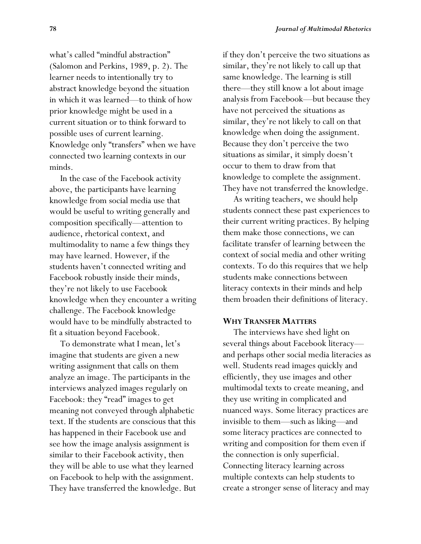what's called "mindful abstraction" (Salomon and Perkins, 1989, p. 2). The learner needs to intentionally try to abstract knowledge beyond the situation in which it was learned—to think of how prior knowledge might be used in a current situation or to think forward to possible uses of current learning. Knowledge only "transfers" when we have connected two learning contexts in our minds.

 In the case of the Facebook activity above, the participants have learning knowledge from social media use that would be useful to writing generally and composition specifically—attention to audience, rhetorical context, and multimodality to name a few things they may have learned. However, if the students haven't connected writing and Facebook robustly inside their minds, they're not likely to use Facebook knowledge when they encounter a writing challenge. The Facebook knowledge would have to be mindfully abstracted to fit a situation beyond Facebook.

 To demonstrate what I mean, let's imagine that students are given a new writing assignment that calls on them analyze an image. The participants in the interviews analyzed images regularly on Facebook: they "read" images to get meaning not conveyed through alphabetic text. If the students are conscious that this has happened in their Facebook use and see how the image analysis assignment is similar to their Facebook activity, then they will be able to use what they learned on Facebook to help with the assignment. They have transferred the knowledge. But if they don't perceive the two situations as similar, they're not likely to call up that same knowledge. The learning is still there—they still know a lot about image analysis from Facebook—but because they have not perceived the situations as similar, they're not likely to call on that knowledge when doing the assignment. Because they don't perceive the two situations as similar, it simply doesn't occur to them to draw from that knowledge to complete the assignment. They have not transferred the knowledge.

 As writing teachers, we should help students connect these past experiences to their current writing practices. By helping them make those connections, we can facilitate transfer of learning between the context of social media and other writing contexts. To do this requires that we help students make connections between literacy contexts in their minds and help them broaden their definitions of literacy.

### **WHY TRANSFER MATTERS**

 The interviews have shed light on several things about Facebook literacy and perhaps other social media literacies as well. Students read images quickly and efficiently, they use images and other multimodal texts to create meaning, and they use writing in complicated and nuanced ways. Some literacy practices are invisible to them—such as liking—and some literacy practices are connected to writing and composition for them even if the connection is only superficial. Connecting literacy learning across multiple contexts can help students to create a stronger sense of literacy and may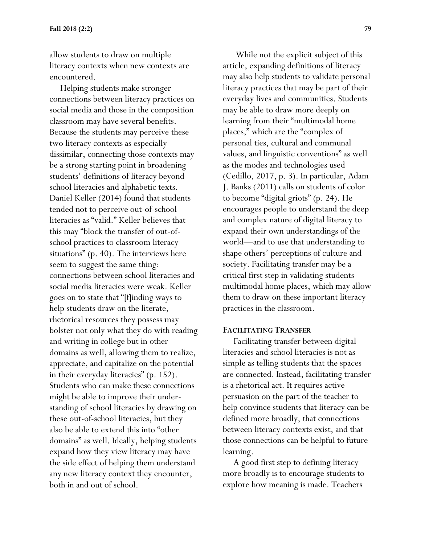allow students to draw on multiple literacy contexts when new contexts are encountered.

 Helping students make stronger connections between literacy practices on social media and those in the composition classroom may have several benefits. Because the students may perceive these two literacy contexts as especially dissimilar, connecting those contexts may be a strong starting point in broadening students' definitions of literacy beyond school literacies and alphabetic texts. Daniel Keller (2014) found that students tended not to perceive out-of-school literacies as "valid." Keller believes that this may "block the transfer of out-ofschool practices to classroom literacy situations" (p. 40). The interviews here seem to suggest the same thing: connections between school literacies and social media literacies were weak. Keller goes on to state that "[f]inding ways to help students draw on the literate, rhetorical resources they possess may bolster not only what they do with reading and writing in college but in other domains as well, allowing them to realize, appreciate, and capitalize on the potential in their everyday literacies" (p. 152). Students who can make these connections might be able to improve their understanding of school literacies by drawing on these out-of-school literacies, but they also be able to extend this into "other domains" as well. Ideally, helping students expand how they view literacy may have the side effect of helping them understand any new literacy context they encounter, both in and out of school.

 While not the explicit subject of this article, expanding definitions of literacy may also help students to validate personal literacy practices that may be part of their everyday lives and communities. Students may be able to draw more deeply on learning from their "multimodal home places," which are the "complex of personal ties, cultural and communal values, and linguistic conventions" as well as the modes and technologies used (Cedillo, 2017, p. 3). In particular, Adam J. Banks (2011) calls on students of color to become "digital griots" (p. 24). He encourages people to understand the deep and complex nature of digital literacy to expand their own understandings of the world—and to use that understanding to shape others' perceptions of culture and society. Facilitating transfer may be a critical first step in validating students multimodal home places, which may allow them to draw on these important literacy practices in the classroom.

### **FACILITATING TRANSFER**

 Facilitating transfer between digital literacies and school literacies is not as simple as telling students that the spaces are connected. Instead, facilitating transfer is a rhetorical act. It requires active persuasion on the part of the teacher to help convince students that literacy can be defined more broadly, that connections between literacy contexts exist, and that those connections can be helpful to future learning.

 A good first step to defining literacy more broadly is to encourage students to explore how meaning is made. Teachers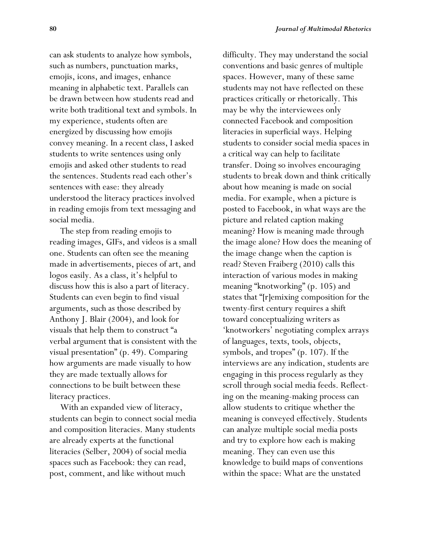can ask students to analyze how symbols, such as numbers, punctuation marks, emojis, icons, and images, enhance meaning in alphabetic text. Parallels can be drawn between how students read and write both traditional text and symbols. In my experience, students often are energized by discussing how emojis convey meaning. In a recent class, I asked students to write sentences using only emojis and asked other students to read the sentences. Students read each other's sentences with ease: they already understood the literacy practices involved in reading emojis from text messaging and social media.

 The step from reading emojis to reading images, GIFs, and videos is a small one. Students can often see the meaning made in advertisements, pieces of art, and logos easily. As a class, it's helpful to discuss how this is also a part of literacy. Students can even begin to find visual arguments, such as those described by Anthony J. Blair (2004), and look for visuals that help them to construct "a verbal argument that is consistent with the visual presentation" (p. 49). Comparing how arguments are made visually to how they are made textually allows for connections to be built between these literacy practices.

 With an expanded view of literacy, students can begin to connect social media and composition literacies. Many students are already experts at the functional literacies (Selber, 2004) of social media spaces such as Facebook: they can read, post, comment, and like without much

difficulty. They may understand the social conventions and basic genres of multiple spaces. However, many of these same students may not have reflected on these practices critically or rhetorically. This may be why the interviewees only connected Facebook and composition literacies in superficial ways. Helping students to consider social media spaces in a critical way can help to facilitate transfer. Doing so involves encouraging students to break down and think critically about how meaning is made on social media. For example, when a picture is posted to Facebook, in what ways are the picture and related caption making meaning? How is meaning made through the image alone? How does the meaning of the image change when the caption is read? Steven Fraiberg (2010) calls this interaction of various modes in making meaning "knotworking" (p. 105) and states that "[r]emixing composition for the twenty-first century requires a shift toward conceptualizing writers as 'knotworkers' negotiating complex arrays of languages, texts, tools, objects, symbols, and tropes" (p. 107). If the interviews are any indication, students are engaging in this process regularly as they scroll through social media feeds. Reflecting on the meaning-making process can allow students to critique whether the meaning is conveyed effectively. Students can analyze multiple social media posts and try to explore how each is making meaning. They can even use this knowledge to build maps of conventions within the space: What are the unstated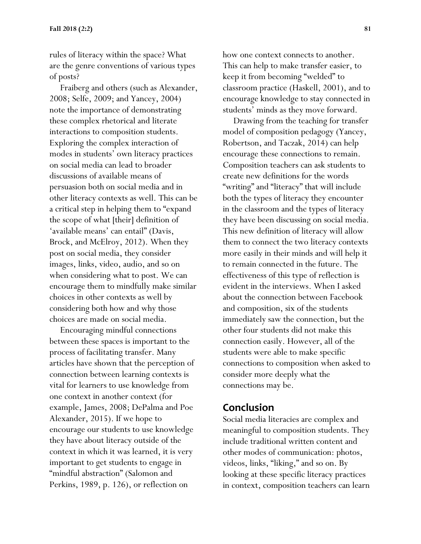rules of literacy within the space? What are the genre conventions of various types of posts?

 Fraiberg and others (such as Alexander, 2008; Selfe, 2009; and Yancey, 2004) note the importance of demonstrating these complex rhetorical and literate interactions to composition students. Exploring the complex interaction of modes in students' own literacy practices on social media can lead to broader discussions of available means of persuasion both on social media and in other literacy contexts as well. This can be a critical step in helping them to "expand the scope of what [their] definition of 'available means' can entail" (Davis, Brock, and McElroy, 2012). When they post on social media, they consider images, links, video, audio, and so on when considering what to post. We can encourage them to mindfully make similar choices in other contexts as well by considering both how and why those choices are made on social media.

 Encouraging mindful connections between these spaces is important to the process of facilitating transfer. Many articles have shown that the perception of connection between learning contexts is vital for learners to use knowledge from one context in another context (for example, James, 2008; DePalma and Poe Alexander, 2015). If we hope to encourage our students to use knowledge they have about literacy outside of the context in which it was learned, it is very important to get students to engage in "mindful abstraction" (Salomon and Perkins, 1989, p. 126), or reflection on

how one context connects to another. This can help to make transfer easier, to keep it from becoming "welded" to classroom practice (Haskell, 2001), and to encourage knowledge to stay connected in students' minds as they move forward.

 Drawing from the teaching for transfer model of composition pedagogy (Yancey, Robertson, and Taczak, 2014) can help encourage these connections to remain. Composition teachers can ask students to create new definitions for the words "writing" and "literacy" that will include both the types of literacy they encounter in the classroom and the types of literacy they have been discussing on social media. This new definition of literacy will allow them to connect the two literacy contexts more easily in their minds and will help it to remain connected in the future. The effectiveness of this type of reflection is evident in the interviews. When I asked about the connection between Facebook and composition, six of the students immediately saw the connection, but the other four students did not make this connection easily. However, all of the students were able to make specific connections to composition when asked to consider more deeply what the connections may be.

### **Conclusion**

Social media literacies are complex and meaningful to composition students. They include traditional written content and other modes of communication: photos, videos, links, "liking," and so on. By looking at these specific literacy practices in context, composition teachers can learn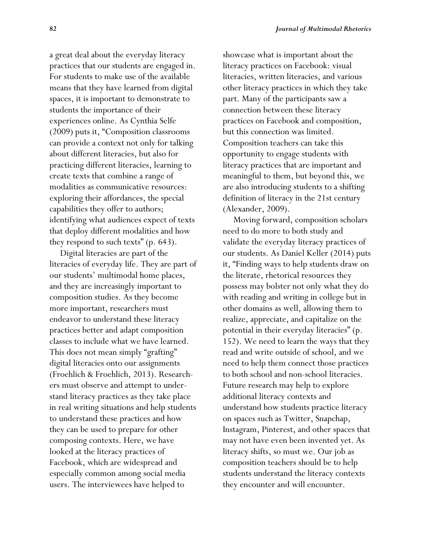a great deal about the everyday literacy practices that our students are engaged in. For students to make use of the available means that they have learned from digital spaces, it is important to demonstrate to students the importance of their experiences online. As Cynthia Selfe (2009) puts it, "Composition classrooms can provide a context not only for talking about different literacies, but also for practicing different literacies, learning to create texts that combine a range of modalities as communicative resources: exploring their affordances, the special capabilities they offer to authors; identifying what audiences expect of texts that deploy different modalities and how they respond to such texts" (p. 643).

 Digital literacies are part of the literacies of everyday life. They are part of our students' multimodal home places, and they are increasingly important to composition studies. As they become more important, researchers must endeavor to understand these literacy practices better and adapt composition classes to include what we have learned. This does not mean simply "grafting" digital literacies onto our assignments (Froehlich & Froehlich, 2013). Researchers must observe and attempt to understand literacy practices as they take place in real writing situations and help students to understand these practices and how they can be used to prepare for other composing contexts. Here, we have looked at the literacy practices of Facebook, which are widespread and especially common among social media users. The interviewees have helped to

showcase what is important about the literacy practices on Facebook: visual literacies, written literacies, and various other literacy practices in which they take part. Many of the participants saw a connection between these literacy practices on Facebook and composition, but this connection was limited. Composition teachers can take this opportunity to engage students with literacy practices that are important and meaningful to them, but beyond this, we are also introducing students to a shifting definition of literacy in the 21st century (Alexander, 2009).

 Moving forward, composition scholars need to do more to both study and validate the everyday literacy practices of our students. As Daniel Keller (2014) puts it, "Finding ways to help students draw on the literate, rhetorical resources they possess may bolster not only what they do with reading and writing in college but in other domains as well, allowing them to realize, appreciate, and capitalize on the potential in their everyday literacies" (p. 152). We need to learn the ways that they read and write outside of school, and we need to help them connect those practices to both school and non-school literacies. Future research may help to explore additional literacy contexts and understand how students practice literacy on spaces such as Twitter, Snapchap, Instagram, Pinterest, and other spaces that may not have even been invented yet. As literacy shifts, so must we. Our job as composition teachers should be to help students understand the literacy contexts they encounter and will encounter.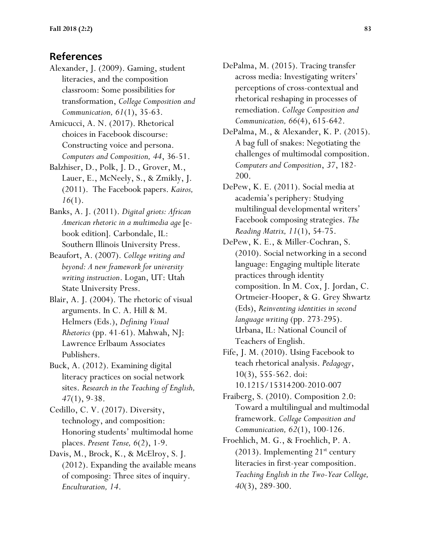### **References**

Alexander, J. (2009). Gaming, student literacies, and the composition classroom: Some possibilities for transformation, *College Composition and Communication, 61*(1), 35-63.

Amicucci, A. N. (2017). Rhetorical choices in Facebook discourse: Constructing voice and persona. *Computers and Composition, 44*, 36-51.

Balzhiser, D., Polk, J. D., Grover, M., Lauer, E., McNeely, S., & Zmikly, J. (2011). The Facebook papers. *Kairos, 16*(1).

Banks, A. J. (2011). *Digital griots: African American rhetoric in a multimedia age* [ebook edition]. Carbondale, IL: Southern Illinois University Press.

Beaufort, A. (2007). *College writing and beyond: A new framework for university writing instruction*. Logan, UT: Utah State University Press.

Blair, A. J. (2004). The rhetoric of visual arguments. In C. A. Hill & M. Helmers (Eds.), *Defining Visual Rhetorics* (pp. 41-61). Mahwah, NJ: Lawrence Erlbaum Associates Publishers.

Buck, A. (2012). Examining digital literacy practices on social network sites. *Research in the Teaching of English, 47*(1), 9-38.

Cedillo, C. V. (2017). Diversity, technology, and composition: Honoring students' multimodal home places. *Present Tense, 6*(2), 1-9.

Davis, M., Brock, K., & McElroy, S. J. (2012). Expanding the available means of composing: Three sites of inquiry. *Enculturation, 14*.

DePalma, M. (2015). Tracing transfer across media: Investigating writers' perceptions of cross-contextual and rhetorical reshaping in processes of remediation. *College Composition and Communication, 66*(4), 615-642.

DePalma, M., & Alexander, K. P. (2015). A bag full of snakes: Negotiating the challenges of multimodal composition. *Computers and Composition*, *37*, 182- 200.

DePew, K. E. (2011). Social media at academia's periphery: Studying multilingual developmental writers' Facebook composing strategies. *The Reading Matrix, 11*(1), 54-75.

DePew, K. E., & Miller-Cochran, S. (2010). Social networking in a second language: Engaging multiple literate practices through identity composition. In M. Cox, J. Jordan, C. Ortmeier-Hooper, & G. Grey Shwartz (Eds), *Reinventing identities in second language writing* (pp. 273-295). Urbana, IL: National Council of Teachers of English.

Fife, J. M. (2010). Using Facebook to teach rhetorical analysis. *Pedagogy*, 10(3), 555-562. doi: 10.1215/15314200-2010-007

Fraiberg, S. (2010). Composition 2.0: Toward a multilingual and multimodal framework. *College Composition and Communication, 62*(1), 100-126.

Froehlich, M. G., & Froehlich, P. A.  $(2013)$ . Implementing  $21^{st}$  century literacies in first-year composition. *Teaching English in the Two-Year College, 40*(3), 289-300.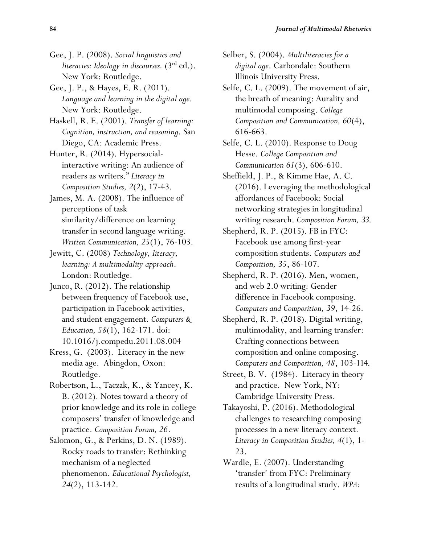- Gee, J. P. (2008). *Social linguistics and literacies: Ideology in discourses.* (3rd ed.). New York: Routledge.
- Gee, J. P., & Hayes, E. R. (2011). *Language and learning in the digital age*. New York: Routledge.
- Haskell, R. E. (2001). *Transfer of learning: Cognition, instruction, and reasoning*. San Diego, CA: Academic Press.

Hunter, R. (2014). Hypersocialinteractive writing: An audience of readers as writers." *Literacy in Composition Studies, 2*(2), 17-43.

James, M. A. (2008). The influence of perceptions of task similarity/difference on learning transfer in second language writing. *Written Communication, 25*(1), 76-103.

Jewitt, C. (2008) *Technology, literacy, learning: A multimodality approach*. London: Routledge.

Junco, R. (2012). The relationship between frequency of Facebook use, participation in Facebook activities, and student engagement. *Computers & Education, 58*(1), 162-171. doi: 10.1016/j.compedu.2011.08.004

Kress, G. (2003). Literacy in the new media age. Abingdon, Oxon: Routledge.

Robertson, L., Taczak, K., & Yancey, K. B. (2012). Notes toward a theory of prior knowledge and its role in college composers' transfer of knowledge and practice. *Composition Forum, 26*.

Salomon, G., & Perkins, D. N. (1989). Rocky roads to transfer: Rethinking mechanism of a neglected phenomenon. *Educational Psychologist, 24*(2), 113-142.

Selber, S. (2004). *Multiliteracies for a digital age*. Carbondale: Southern Illinois University Press.

- Selfe, C. L. (2009). The movement of air, the breath of meaning: Aurality and multimodal composing. *College Composition and Communication, 60*(4), 616-663.
- Selfe, C. L. (2010). Response to Doug Hesse. *College Composition and Communication 61*(3), 606-610.
- Sheffield, J. P., & Kimme Hae, A. C. (2016). Leveraging the methodological affordances of Facebook: Social networking strategies in longitudinal writing research. *Composition Forum, 33*.
- Shepherd, R. P. (2015). FB in FYC: Facebook use among first-year composition students. *Computers and Composition, 35*, 86-107.
- Shepherd, R. P. (2016). Men, women, and web 2.0 writing: Gender difference in Facebook composing. *Computers and Composition, 39*, 14-26.
- Shepherd, R. P. (2018). Digital writing, multimodality, and learning transfer: Crafting connections between composition and online composing. *Computers and Composition, 48*, 103-114.
- Street, B. V. (1984). Literacy in theory and practice. New York, NY: Cambridge University Press.

Takayoshi, P. (2016). Methodological challenges to researching composing processes in a new literacy context. *Literacy in Composition Studies, 4*(1), 1- 23.

Wardle, E. (2007). Understanding 'transfer' from FYC: Preliminary results of a longitudinal study. *WPA:*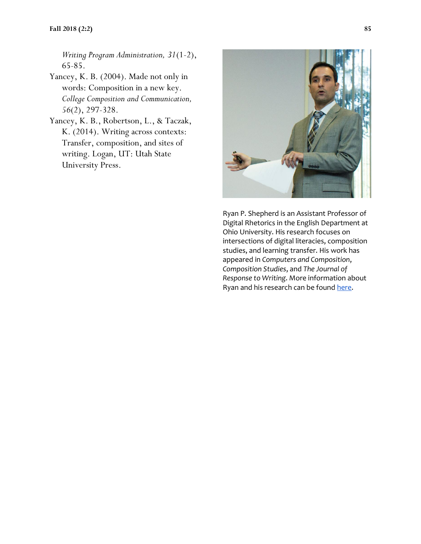*Writing Program Administration, 31*(1-2), 65-85.

- Yancey, K. B. (2004). Made not only in words: Composition in a new key. *College Composition and Communication, 56*(2), 297-328.
- Yancey, K. B., Robertson, L., & Taczak, K. (2014). Writing across contexts: Transfer, composition, and sites of writing. Logan, UT: Utah State University Press.



Ryan P. Shepherd is an Assistant Professor of Digital Rhetorics in the English Department at Ohio University. His research focuses on intersections of digital literacies, composition studies, and learning transfer. His work has appeared in *Computers and Composition*, *Composition Studies*, and *The Journal of Response to Writing*. More information about Ryan and his research can be found [here.](http://ryanpshepherd.com/)